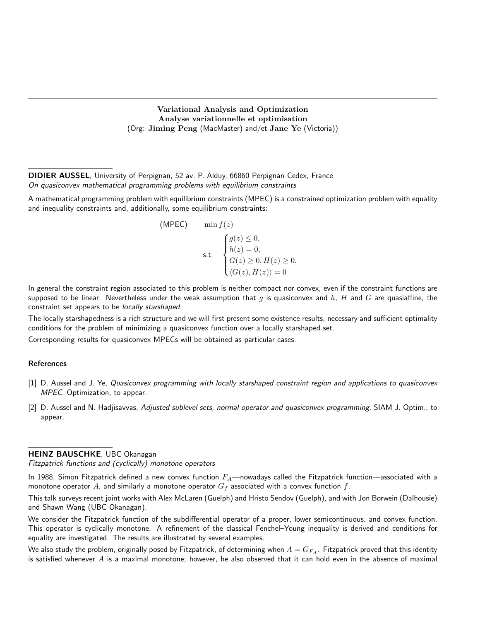Variational Analysis and Optimization Analyse variationnelle et optimisation (Org: Jiming Peng (MacMaster) and/et Jane Ye (Victoria))

DIDIER AUSSEL, University of Perpignan, 52 av. P. Alduy, 66860 Perpignan Cedex, France On quasiconvex mathematical programming problems with equilibrium constraints

A mathematical programming problem with equilibrium constraints (MPEC) is a constrained optimization problem with equality and inequality constraints and, additionally, some equilibrium constraints:

(MPEC) 
$$
\begin{aligned}\n\min f(z) \\
\text{s.t.} \quad \begin{cases}\ng(z) \le 0, \\
h(z) = 0, \\
G(z) \ge 0, H(z) \ge 0, \\
\langle G(z), H(z) \rangle = 0\n\end{cases}\n\end{aligned}
$$

In general the constraint region associated to this problem is neither compact nor convex, even if the constraint functions are supposed to be linear. Nevertheless under the weak assumption that g is quasiconvex and h, H and G are quasiaffine, the constraint set appears to be locally starshaped.

The locally starshapedness is a rich structure and we will first present some existence results, necessary and sufficient optimality conditions for the problem of minimizing a quasiconvex function over a locally starshaped set.

Corresponding results for quasiconvex MPECs will be obtained as particular cases.

#### References

- [1] D. Aussel and J. Ye, Quasiconvex programming with locally starshaped constraint region and applications to quasiconvex MPEC. Optimization, to appear.
- [2] D. Aussel and N. Hadjisavvas, Adjusted sublevel sets, normal operator and quasiconvex programming. SIAM J. Optim., to appear.

#### HEINZ BAUSCHKE, UBC Okanagan

Fitzpatrick functions and (cyclically) monotone operators

In 1988, Simon Fitzpatrick defined a new convex function  $F_A$ —nowadays called the Fitzpatrick function—associated with a monotone operator A, and similarly a monotone operator  $G_f$  associated with a convex function f.

This talk surveys recent joint works with Alex McLaren (Guelph) and Hristo Sendov (Guelph), and with Jon Borwein (Dalhousie) and Shawn Wang (UBC Okanagan).

We consider the Fitzpatrick function of the subdifferential operator of a proper, lower semicontinuous, and convex function. This operator is cyclically monotone. A refinement of the classical Fenchel–Young inequality is derived and conditions for equality are investigated. The results are illustrated by several examples.

We also study the problem, originally posed by Fitzpatrick, of determining when  $A = G_{FA}$ . Fitzpatrick proved that this identity is satisfied whenever  $A$  is a maximal monotone; however, he also observed that it can hold even in the absence of maximal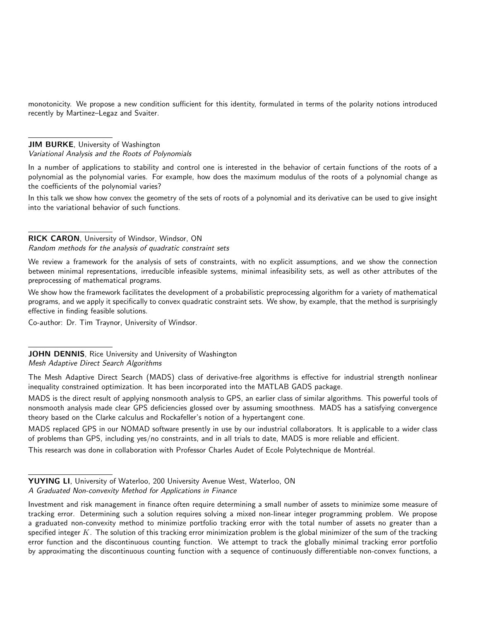monotonicity. We propose a new condition sufficient for this identity, formulated in terms of the polarity notions introduced recently by Martinez–Legaz and Svaiter.

JIM BURKE, University of Washington Variational Analysis and the Roots of Polynomials

In a number of applications to stability and control one is interested in the behavior of certain functions of the roots of a polynomial as the polynomial varies. For example, how does the maximum modulus of the roots of a polynomial change as the coefficients of the polynomial varies?

In this talk we show how convex the geometry of the sets of roots of a polynomial and its derivative can be used to give insight into the variational behavior of such functions.

# RICK CARON, University of Windsor, Windsor, ON

Random methods for the analysis of quadratic constraint sets

We review a framework for the analysis of sets of constraints, with no explicit assumptions, and we show the connection between minimal representations, irreducible infeasible systems, minimal infeasibility sets, as well as other attributes of the preprocessing of mathematical programs.

We show how the framework facilitates the development of a probabilistic preprocessing algorithm for a variety of mathematical programs, and we apply it specifically to convex quadratic constraint sets. We show, by example, that the method is surprisingly effective in finding feasible solutions.

Co-author: Dr. Tim Traynor, University of Windsor.

JOHN DENNIS, Rice University and University of Washington Mesh Adaptive Direct Search Algorithms

The Mesh Adaptive Direct Search (MADS) class of derivative-free algorithms is effective for industrial strength nonlinear inequality constrained optimization. It has been incorporated into the MATLAB GADS package.

MADS is the direct result of applying nonsmooth analysis to GPS, an earlier class of similar algorithms. This powerful tools of nonsmooth analysis made clear GPS deficiencies glossed over by assuming smoothness. MADS has a satisfying convergence theory based on the Clarke calculus and Rockafeller's notion of a hypertangent cone.

MADS replaced GPS in our NOMAD software presently in use by our industrial collaborators. It is applicable to a wider class of problems than GPS, including yes/no constraints, and in all trials to date, MADS is more reliable and efficient.

This research was done in collaboration with Professor Charles Audet of Ecole Polytechnique de Montréal.

YUYING LI, University of Waterloo, 200 University Avenue West, Waterloo, ON A Graduated Non-convexity Method for Applications in Finance

Investment and risk management in finance often require determining a small number of assets to minimize some measure of tracking error. Determining such a solution requires solving a mixed non-linear integer programming problem. We propose a graduated non-convexity method to minimize portfolio tracking error with the total number of assets no greater than a specified integer  $K$ . The solution of this tracking error minimization problem is the global minimizer of the sum of the tracking error function and the discontinuous counting function. We attempt to track the globally minimal tracking error portfolio by approximating the discontinuous counting function with a sequence of continuously differentiable non-convex functions, a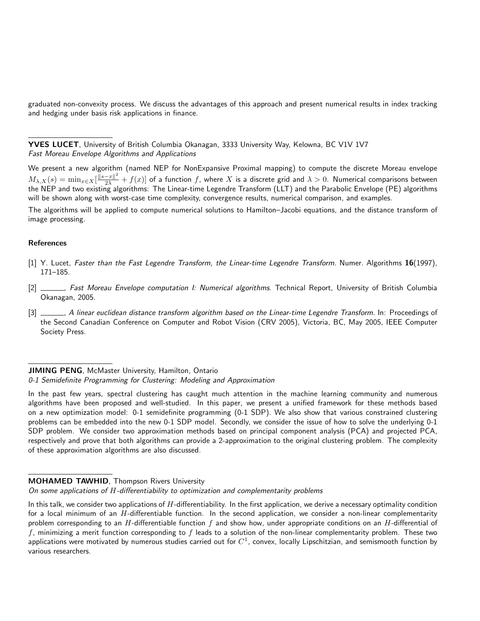graduated non-convexity process. We discuss the advantages of this approach and present numerical results in index tracking and hedging under basis risk applications in finance.

YVES LUCET, University of British Columbia Okanagan, 3333 University Way, Kelowna, BC V1V 1V7 Fast Moreau Envelope Algorithms and Applications

We present a new algorithm (named NEP for NonExpansive Proximal mapping) to compute the discrete Moreau envelope  $M_{\lambda,X}(s)=\min_{x\in X}[\frac{\|s-x\|^2}{2\lambda}+f(x)]$  of a function  $f$ , where  $X$  is a discrete grid and  $\lambda>0.$  Numerical comparisons between the NEP and two existing algorithms: The Linear-time Legendre Transform (LLT) and the Parabolic Envelope (PE) algorithms will be shown along with worst-case time complexity, convergence results, numerical comparison, and examples.

The algorithms will be applied to compute numerical solutions to Hamilton–Jacobi equations, and the distance transform of image processing.

#### References

- [1] Y. Lucet, Faster than the Fast Legendre Transform, the Linear-time Legendre Transform. Numer. Algorithms 16(1997), 171–185.
- [2] , Fast Moreau Envelope computation I: Numerical algorithms. Technical Report, University of British Columbia Okanagan, 2005.
- [3]  $\_\_\_\_\$ n A linear euclidean distance transform algorithm based on the Linear-time Legendre Transform. In: Proceedings of the Second Canadian Conference on Computer and Robot Vision (CRV 2005), Victoria, BC, May 2005, IEEE Computer Society Press.

### JIMING PENG, McMaster University, Hamilton, Ontario

0-1 Semidefinite Programming for Clustering: Modeling and Approximation

In the past few years, spectral clustering has caught much attention in the machine learning community and numerous algorithms have been proposed and well-studied. In this paper, we present a unified framework for these methods based on a new optimization model: 0-1 semidefinite programming (0-1 SDP). We also show that various constrained clustering problems can be embedded into the new 0-1 SDP model. Secondly, we consider the issue of how to solve the underlying 0-1 SDP problem. We consider two approximation methods based on principal component analysis (PCA) and projected PCA, respectively and prove that both algorithms can provide a 2-approximation to the original clustering problem. The complexity of these approximation algorithms are also discussed.

## **MOHAMED TAWHID, Thompson Rivers University**

On some applications of H-differentiability to optimization and complementarity problems

In this talk, we consider two applications of  $H$ -differentiability. In the first application, we derive a necessary optimality condition for a local minimum of an  $H$ -differentiable function. In the second application, we consider a non-linear complementarity problem corresponding to an H-differentiable function f and show how, under appropriate conditions on an H-differential of f, minimizing a merit function corresponding to  $f$  leads to a solution of the non-linear complementarity problem. These two applications were motivated by numerous studies carried out for  $C^1$ , convex, locally Lipschitzian, and semismooth function by various researchers.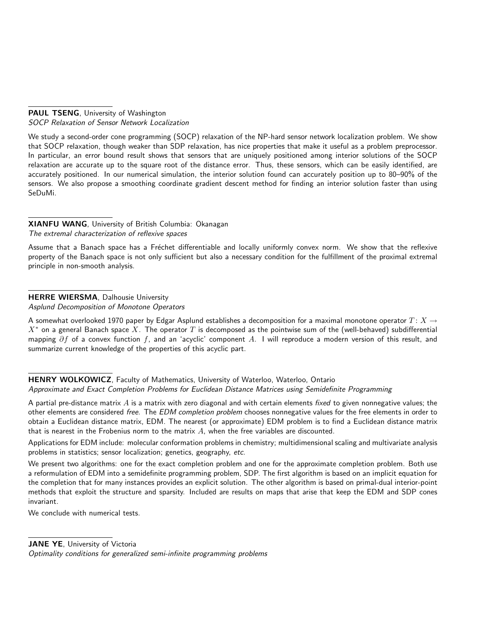PAUL TSENG, University of Washington SOCP Relaxation of Sensor Network Localization

We study a second-order cone programming (SOCP) relaxation of the NP-hard sensor network localization problem. We show that SOCP relaxation, though weaker than SDP relaxation, has nice properties that make it useful as a problem preprocessor. In particular, an error bound result shows that sensors that are uniquely positioned among interior solutions of the SOCP relaxation are accurate up to the square root of the distance error. Thus, these sensors, which can be easily identified, are accurately positioned. In our numerical simulation, the interior solution found can accurately position up to 80–90% of the sensors. We also propose a smoothing coordinate gradient descent method for finding an interior solution faster than using SeDuMi.

# XIANFU WANG, University of British Columbia: Okanagan The extremal characterization of reflexive spaces

Assume that a Banach space has a Fréchet differentiable and locally uniformly convex norm. We show that the reflexive property of the Banach space is not only sufficient but also a necessary condition for the fulfillment of the proximal extremal

# HERRE WIERSMA, Dalhousie University

principle in non-smooth analysis.

Asplund Decomposition of Monotone Operators

A somewhat overlooked 1970 paper by Edgar Asplund establishes a decomposition for a maximal monotone operator  $T: X \to$  $X^*$  on a general Banach space X. The operator T is decomposed as the pointwise sum of the (well-behaved) subdifferential mapping  $\partial f$  of a convex function f, and an 'acyclic' component A. I will reproduce a modern version of this result, and summarize current knowledge of the properties of this acyclic part.

# HENRY WOLKOWICZ, Faculty of Mathematics, University of Waterloo, Waterloo, Ontario Approximate and Exact Completion Problems for Euclidean Distance Matrices using Semidefinite Programming

A partial pre-distance matrix A is a matrix with zero diagonal and with certain elements fixed to given nonnegative values; the other elements are considered free. The EDM completion problem chooses nonnegative values for the free elements in order to obtain a Euclidean distance matrix, EDM. The nearest (or approximate) EDM problem is to find a Euclidean distance matrix that is nearest in the Frobenius norm to the matrix  $A$ , when the free variables are discounted.

Applications for EDM include: molecular conformation problems in chemistry; multidimensional scaling and multivariate analysis problems in statistics; sensor localization; genetics, geography, etc.

We present two algorithms: one for the exact completion problem and one for the approximate completion problem. Both use a reformulation of EDM into a semidefinite programming problem, SDP. The first algorithm is based on an implicit equation for the completion that for many instances provides an explicit solution. The other algorithm is based on primal-dual interior-point methods that exploit the structure and sparsity. Included are results on maps that arise that keep the EDM and SDP cones invariant.

We conclude with numerical tests.

JANE YE, University of Victoria

Optimality conditions for generalized semi-infinite programming problems